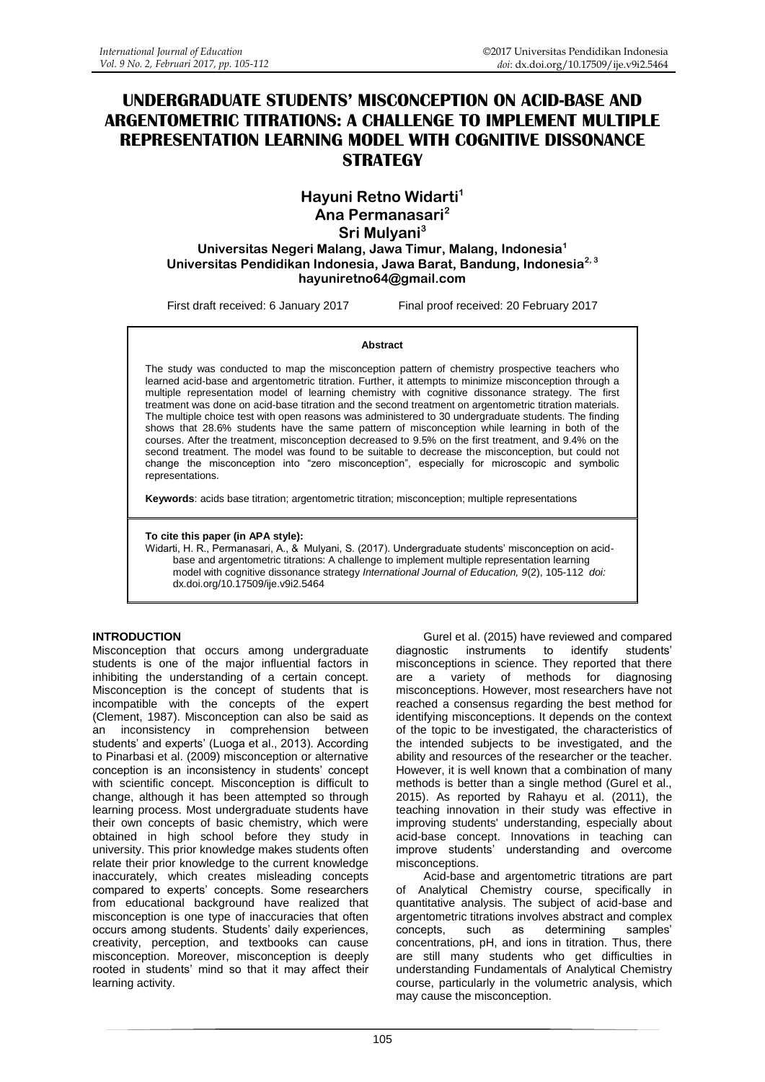# **UNDERGRADUATE STUDENTS' MISCONCEPTION ON ACID-BASE AND ARGENTOMETRIC TITRATIONS: A CHALLENGE TO IMPLEMENT MULTIPLE REPRESENTATION LEARNING MODEL WITH COGNITIVE DISSONANCE STRATEGY**

**Hayuni Retno Widarti<sup>1</sup> Ana Permanasari<sup>2</sup> Sri Mulyani<sup>3</sup> Universitas Negeri Malang, Jawa Timur, Malang, Indonesia<sup>1</sup> Universitas Pendidikan Indonesia, Jawa Barat, Bandung, Indonesia2, 3 hayuniretno64@gmail.com**

First draft received: 6 January 2017 Final proof received: 20 February 2017

#### **Abstract**

The study was conducted to map the misconception pattern of chemistry prospective teachers who learned acid-base and argentometric titration. Further, it attempts to minimize misconception through a multiple representation model of learning chemistry with cognitive dissonance strategy. The first treatment was done on acid-base titration and the second treatment on argentometric titration materials. The multiple choice test with open reasons was administered to 30 undergraduate students. The finding shows that 28.6% students have the same pattern of misconception while learning in both of the courses. After the treatment, misconception decreased to 9.5% on the first treatment, and 9.4% on the second treatment. The model was found to be suitable to decrease the misconception, but could not change the misconception into "zero misconception", especially for microscopic and symbolic representations.

**Keywords**: acids base titration; argentometric titration; misconception; multiple representations

**To cite this paper (in APA style):**

Widarti, H. R., Permanasari, A., & Mulyani, S. (2017). Undergraduate students' misconception on acidbase and argentometric titrations: A challenge to implement multiple representation learning model with cognitive dissonance strategy *International Journal of Education, 9*(2), 105-112 *doi:* [dx.doi.org/10.17509/ije.v9i2.5464](http://dx.doi.org/10.17509/ije.v9i2.5464)

#### **INTRODUCTION**

Misconception that occurs among undergraduate students is one of the major influential factors in inhibiting the understanding of a certain concept. Misconception is the concept of students that is incompatible with the concepts of the expert (Clement, 1987). Misconception can also be said as an inconsistency in comprehension between students' and experts' (Luoga et al., 2013). According to Pinarbasi et al. (2009) misconception or alternative conception is an inconsistency in students' concept with scientific concept. Misconception is difficult to change, although it has been attempted so through learning process. Most undergraduate students have their own concepts of basic chemistry, which were obtained in high school before they study in university. This prior knowledge makes students often relate their prior knowledge to the current knowledge inaccurately, which creates misleading concepts compared to experts' concepts. Some researchers from educational background have realized that misconception is one type of inaccuracies that often occurs among students. Students' daily experiences, creativity, perception, and textbooks can cause misconception. Moreover, misconception is deeply rooted in students' mind so that it may affect their learning activity.

Gurel et al. (2015) have reviewed and compared diagnostic instruments to identify students' misconceptions in science. They reported that there are a variety of methods for diagnosing misconceptions. However, most researchers have not reached a consensus regarding the best method for identifying misconceptions. It depends on the context of the topic to be investigated, the characteristics of the intended subjects to be investigated, and the ability and resources of the researcher or the teacher. However, it is well known that a combination of many methods is better than a single method (Gurel et al., 2015). As reported by Rahayu et al. (2011), the teaching innovation in their study was effective in improving students' understanding, especially about acid-base concept. Innovations in teaching can improve students' understanding and overcome misconceptions.

Acid-base and argentometric titrations are part of Analytical Chemistry course, specifically in quantitative analysis. The subject of acid-base and argentometric titrations involves abstract and complex concepts, such as determining samples' concentrations, pH, and ions in titration. Thus, there are still many students who get difficulties in understanding Fundamentals of Analytical Chemistry course, particularly in the volumetric analysis, which may cause the misconception.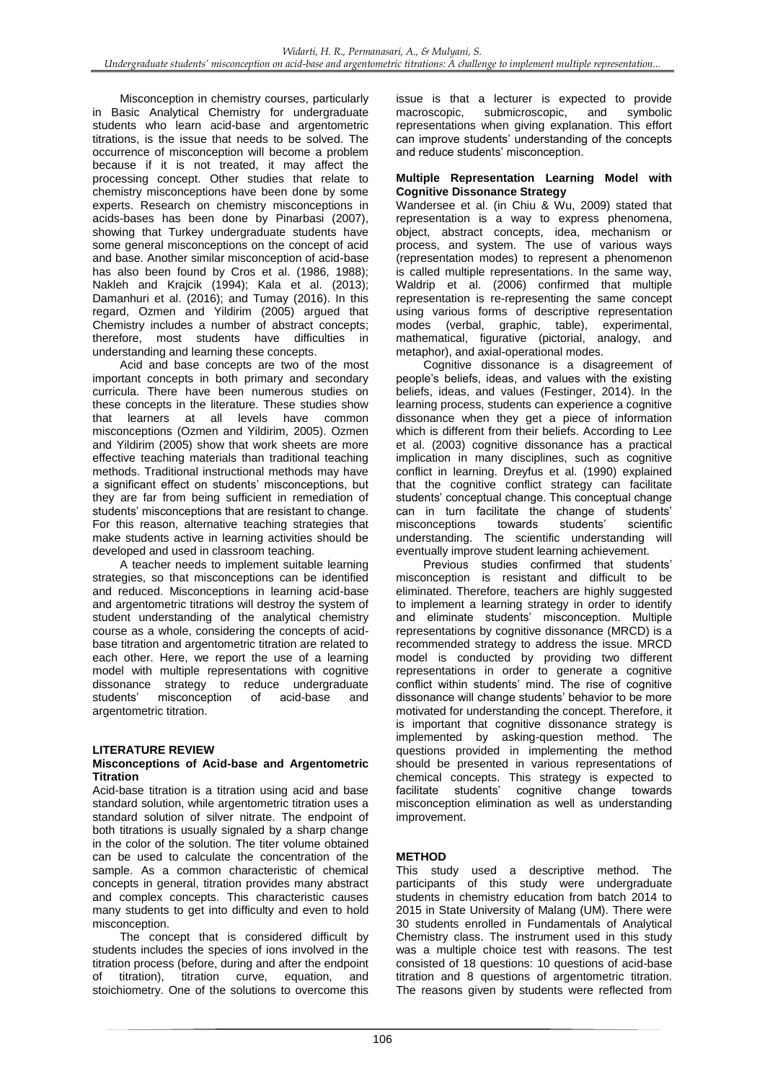Misconception in chemistry courses, particularly in Basic Analytical Chemistry for undergraduate students who learn acid-base and argentometric titrations, is the issue that needs to be solved. The occurrence of misconception will become a problem because if it is not treated, it may affect the processing concept. Other studies that relate to chemistry misconceptions have been done by some experts. Research on chemistry misconceptions in acids-bases has been done by Pinarbasi (2007), showing that Turkey undergraduate students have some general misconceptions on the concept of acid and base. Another similar misconception of acid-base has also been found by Cros et al. (1986, 1988); Nakleh and Krajcik (1994); Kala et al. (2013); Damanhuri et al. (2016); and Tumay (2016). In this regard, Ozmen and Yildirim (2005) argued that Chemistry includes a number of abstract concepts; therefore, most students have difficulties in understanding and learning these concepts.

Acid and base concepts are two of the most important concepts in both primary and secondary curricula. There have been numerous studies on these concepts in the literature. These studies show that learners at all levels have common misconceptions (Ozmen and Yildirim, 2005). Ozmen and Yildirim (2005) show that work sheets are more effective teaching materials than traditional teaching methods. Traditional instructional methods may have a significant effect on students' misconceptions, but they are far from being sufficient in remediation of students' misconceptions that are resistant to change. For this reason, alternative teaching strategies that make students active in learning activities should be developed and used in classroom teaching.

A teacher needs to implement suitable learning strategies, so that misconceptions can be identified and reduced. Misconceptions in learning acid-base and argentometric titrations will destroy the system of student understanding of the analytical chemistry course as a whole, considering the concepts of acidbase titration and argentometric titration are related to each other. Here, we report the use of a learning model with multiple representations with cognitive dissonance strategy to reduce undergraduate students' misconception of acid-base and argentometric titration.

## **LITERATURE REVIEW**

#### **Misconceptions of Acid-base and Argentometric Titration**

Acid-base titration is a titration using acid and base standard solution, while argentometric titration uses a standard solution of silver nitrate. The endpoint of both titrations is usually signaled by a sharp change in the color of the solution. The titer volume obtained can be used to calculate the concentration of the sample. As a common characteristic of chemical concepts in general, titration provides many abstract and complex concepts. This characteristic causes many students to get into difficulty and even to hold misconception.

The concept that is considered difficult by students includes the species of ions involved in the titration process (before, during and after the endpoint of titration), titration curve, equation, and stoichiometry. One of the solutions to overcome this

issue is that a lecturer is expected to provide macroscopic, submicroscopic, and symbolic representations when giving explanation. This effort can improve students' understanding of the concepts and reduce students' misconception.

#### **Multiple Representation Learning Model with Cognitive Dissonance Strategy**

Wandersee et al. (in Chiu & Wu, 2009) stated that representation is a way to express phenomena, object, abstract concepts, idea, mechanism or process, and system. The use of various ways (representation modes) to represent a phenomenon is called multiple representations. In the same way, Waldrip et al. (2006) confirmed that multiple representation is re-representing the same concept using various forms of descriptive representation modes (verbal, graphic, table), experimental, mathematical, figurative (pictorial, analogy, and metaphor), and axial-operational modes.

Cognitive dissonance is a disagreement of people's beliefs, ideas, and values with the existing beliefs, ideas, and values (Festinger, 2014). In the learning process, students can experience a cognitive dissonance when they get a piece of information which is different from their beliefs. According to Lee et al. (2003) cognitive dissonance has a practical implication in many disciplines, such as cognitive conflict in learning. Dreyfus et al. (1990) explained that the cognitive conflict strategy can facilitate students' conceptual change. This conceptual change can in turn facilitate the change of students' misconceptions towards students' scientific understanding. The scientific understanding will eventually improve student learning achievement.

Previous studies confirmed that students' misconception is resistant and difficult to be eliminated. Therefore, teachers are highly suggested to implement a learning strategy in order to identify and eliminate students' misconception. Multiple representations by cognitive dissonance (MRCD) is a recommended strategy to address the issue. MRCD model is conducted by providing two different representations in order to generate a cognitive conflict within students' mind. The rise of cognitive dissonance will change students' behavior to be more motivated for understanding the concept. Therefore, it is important that cognitive dissonance strategy is implemented by asking-question method. The questions provided in implementing the method should be presented in various representations of chemical concepts. This strategy is expected to facilitate students' cognitive change towards misconception elimination as well as understanding improvement.

## **METHOD**

This study used a descriptive method. The participants of this study were undergraduate students in chemistry education from batch 2014 to 2015 in State University of Malang (UM). There were 30 students enrolled in Fundamentals of Analytical Chemistry class. The instrument used in this study was a multiple choice test with reasons. The test consisted of 18 questions: 10 questions of acid-base titration and 8 questions of argentometric titration. The reasons given by students were reflected from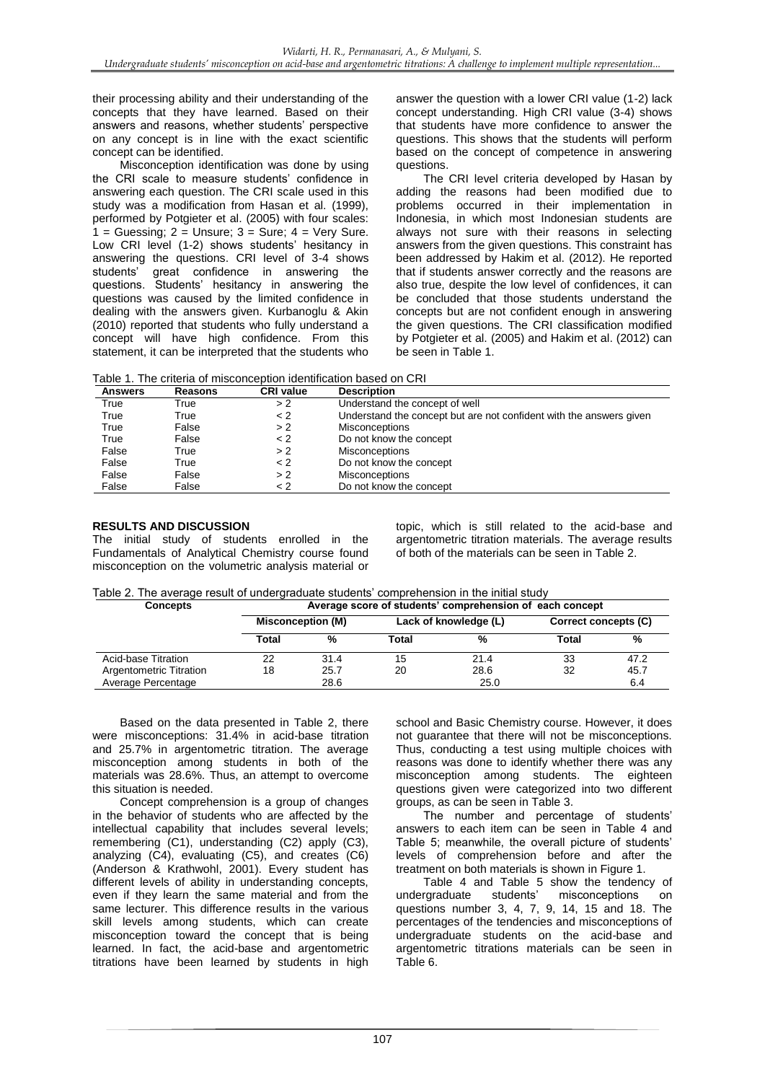their processing ability and their understanding of the concepts that they have learned. Based on their answers and reasons, whether students' perspective on any concept is in line with the exact scientific concept can be identified.

Misconception identification was done by using the CRI scale to measure students' confidence in answering each question. The CRI scale used in this study was a modification from Hasan et al. (1999), performed by Potgieter et al. (2005) with four scales:  $1 =$  Guessing;  $2 =$  Unsure;  $3 =$  Sure;  $4 =$  Very Sure. Low CRI level (1-2) shows students' hesitancy in answering the questions. CRI level of 3-4 shows students' great confidence in answering the questions. Students' hesitancy in answering the questions was caused by the limited confidence in dealing with the answers given. Kurbanoglu & Akin (2010) reported that students who fully understand a concept will have high confidence. From this statement, it can be interpreted that the students who answer the question with a lower CRI value (1-2) lack concept understanding. High CRI value (3-4) shows that students have more confidence to answer the questions. This shows that the students will perform based on the concept of competence in answering questions.

The CRI level criteria developed by Hasan by adding the reasons had been modified due to problems occurred in their implementation in Indonesia, in which most Indonesian students are always not sure with their reasons in selecting answers from the given questions. This constraint has been addressed by Hakim et al. (2012). He reported that if students answer correctly and the reasons are also true, despite the low level of confidences, it can be concluded that those students understand the concepts but are not confident enough in answering the given questions. The CRI classification modified by Potgieter et al. (2005) and Hakim et al. (2012) can be seen in Table 1.

Table 1. The criteria of misconception identification based on CRI

| <b>Answers</b> | <b>Reasons</b> | <b>CRI value</b> | <b>Description</b>                                                  |
|----------------|----------------|------------------|---------------------------------------------------------------------|
| True           | True           | > 2              | Understand the concept of well                                      |
| True           | True           | < 2              | Understand the concept but are not confident with the answers given |
| True           | False          | > 2              | <b>Misconceptions</b>                                               |
| True           | False          | < 2              | Do not know the concept                                             |
| False          | True           | > 2              | <b>Misconceptions</b>                                               |
| False          | True           | < 2              | Do not know the concept                                             |
| False          | False          | >2               | <b>Misconceptions</b>                                               |
| False          | False          | < 2              | Do not know the concept                                             |

## **RESULTS AND DISCUSSION**

The initial study of students enrolled in the Fundamentals of Analytical Chemistry course found misconception on the volumetric analysis material or topic, which is still related to the acid-base and argentometric titration materials. The average results of both of the materials can be seen in Table 2.

| Table 2. The average result of undergraduate students' comprehension in the initial study |
|-------------------------------------------------------------------------------------------|
|-------------------------------------------------------------------------------------------|

| <b>Concepts</b>         | Average score of students' comprehension of each concept |                          |       |                       |                      |      |  |
|-------------------------|----------------------------------------------------------|--------------------------|-------|-----------------------|----------------------|------|--|
|                         |                                                          | <b>Misconception (M)</b> |       | Lack of knowledge (L) | Correct concepts (C) |      |  |
|                         | Total                                                    | %                        | Total | %                     | Total                | %    |  |
| Acid-base Titration     | 22                                                       | 31.4                     | 15    | 21.4                  | 33                   | 47.2 |  |
| Argentometric Titration | 18                                                       | 25.7                     | 20    | 28.6                  | 32                   | 45.7 |  |
| Average Percentage      |                                                          | 28.6                     |       | 25.0                  |                      | 6.4  |  |

Based on the data presented in Table 2, there were misconceptions: 31.4% in acid-base titration and 25.7% in argentometric titration. The average misconception among students in both of the materials was 28.6%. Thus, an attempt to overcome this situation is needed.

Concept comprehension is a group of changes in the behavior of students who are affected by the intellectual capability that includes several levels; remembering (C1), understanding (C2) apply (C3), analyzing (C4), evaluating (C5), and creates (C6) (Anderson & Krathwohl, 2001). Every student has different levels of ability in understanding concepts, even if they learn the same material and from the same lecturer. This difference results in the various skill levels among students, which can create misconception toward the concept that is being learned. In fact, the acid-base and argentometric titrations have been learned by students in high

school and Basic Chemistry course. However, it does not guarantee that there will not be misconceptions. Thus, conducting a test using multiple choices with reasons was done to identify whether there was any misconception among students. The eighteen questions given were categorized into two different groups, as can be seen in Table 3.

The number and percentage of students' answers to each item can be seen in Table 4 and Table 5; meanwhile, the overall picture of students' levels of comprehension before and after the treatment on both materials is shown in Figure 1.

Table 4 and Table 5 show the tendency of<br>roraduate students' misconceptions on undergraduate students' misconceptions on questions number 3, 4, 7, 9, 14, 15 and 18. The percentages of the tendencies and misconceptions of undergraduate students on the acid-base and argentometric titrations materials can be seen in Table 6.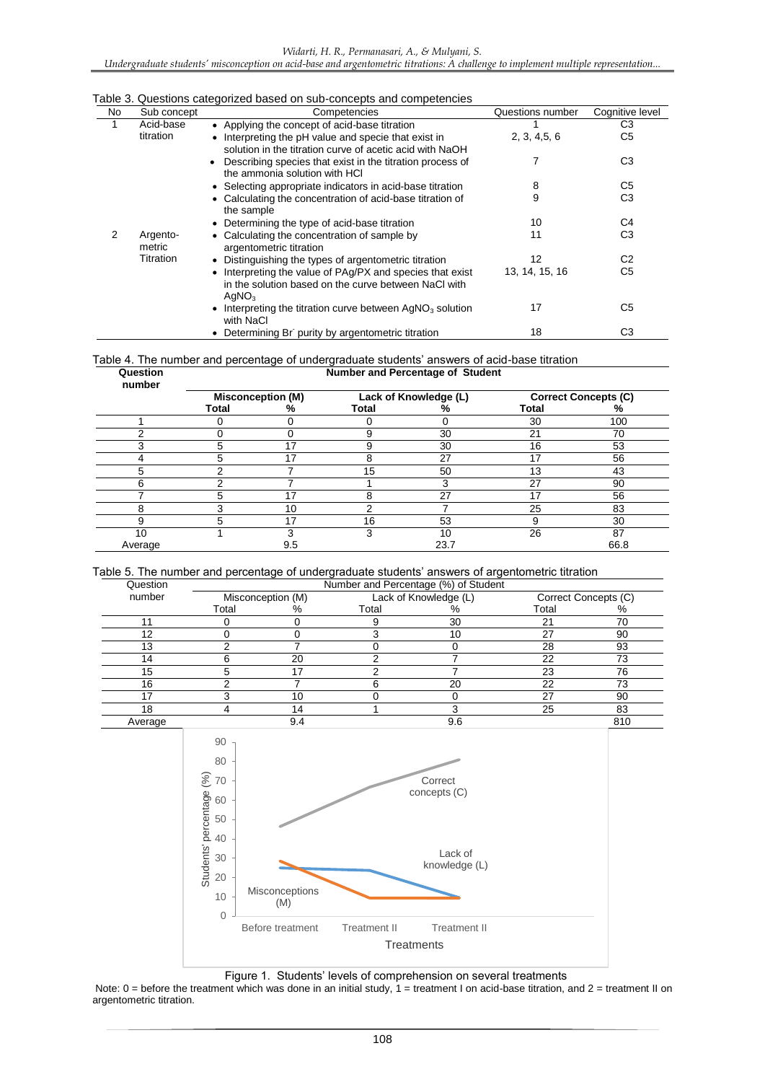### *Undergraduate students' misconception on acid-base and argentometric titrations: A challenge to implement multiple representation...*

#### Table 3. Questions categorized based on sub-concepts and competencies

| No. | Sub concept        | Competencies                                                                                                                           | Questions number | Cognitive level |
|-----|--------------------|----------------------------------------------------------------------------------------------------------------------------------------|------------------|-----------------|
| 1   | Acid-base          | • Applying the concept of acid-base titration                                                                                          |                  | C <sub>3</sub>  |
|     | titration          | • Interpreting the pH value and specie that exist in<br>solution in the titration curve of acetic acid with NaOH                       | 2, 3, 4.5, 6     | C5              |
|     |                    | Describing species that exist in the titration process of<br>the ammonia solution with HCI                                             |                  | C <sub>3</sub>  |
|     |                    | • Selecting appropriate indicators in acid-base titration                                                                              | 8                | C <sub>5</sub>  |
|     |                    | • Calculating the concentration of acid-base titration of<br>the sample                                                                | 9                | C <sub>3</sub>  |
|     |                    | • Determining the type of acid-base titration                                                                                          | 10               | C4              |
| 2   | Argento-<br>metric | • Calculating the concentration of sample by<br>argentometric titration                                                                | 11               | C <sub>3</sub>  |
|     | Titration          | Distinguishing the types of argentometric titration                                                                                    | 12               | C <sub>2</sub>  |
|     |                    | • Interpreting the value of PAg/PX and species that exist<br>in the solution based on the curve between NaCl with<br>AqNO <sub>3</sub> | 13, 14, 15, 16   | C5              |
|     |                    | • Interpreting the titration curve between $AqNO3$ solution<br>with NaCl                                                               | 17               | C <sub>5</sub>  |
|     |                    | • Determining Br purity by argentometric titration                                                                                     | 18               | CЗ              |

#### Table 4. The number and percentage of undergraduate students' answers of acid-base titration **Question Number and Percentage of Student**

| wucauon<br>number |                          |     |       | <b>Remperand Fercentage or Otagem</b> |                             |      |  |  |  |  |
|-------------------|--------------------------|-----|-------|---------------------------------------|-----------------------------|------|--|--|--|--|
|                   | <b>Misconception (M)</b> |     |       | Lack of Knowledge (L)                 | <b>Correct Concepts (C)</b> |      |  |  |  |  |
|                   | <b>Total</b>             | %   | Total | %                                     | Total                       | %    |  |  |  |  |
|                   |                          |     |       |                                       | 30                          | 100  |  |  |  |  |
| ⌒                 |                          |     | 9     | 30                                    | 21                          | 70   |  |  |  |  |
| ົ                 | 5                        | 17  | 9     | 30                                    | 16                          | 53   |  |  |  |  |
|                   | 5                        | 17  | 8     | 27                                    | 17                          | 56   |  |  |  |  |
|                   | っ                        |     | 15    | 50                                    | 13                          | 43   |  |  |  |  |
| 6                 |                          |     |       |                                       | 27                          | 90   |  |  |  |  |
|                   | 5                        | 17  | 8     | 27                                    | 17                          | 56   |  |  |  |  |
| ິ                 | ົ                        | 10  | っ     |                                       | 25                          | 83   |  |  |  |  |
| 9                 | 5                        | 17  | 16    | 53                                    | 9                           | 30   |  |  |  |  |
| 10                |                          |     | 3     | 10                                    | 26                          | 87   |  |  |  |  |
| Average           |                          | 9.5 |       | 23.7                                  |                             | 66.8 |  |  |  |  |

## Table 5. The number and percentage of undergraduate students' answers of argentometric titration

| Question |                   |     |                       | Number and Percentage (%) of Student |       |                      |  |
|----------|-------------------|-----|-----------------------|--------------------------------------|-------|----------------------|--|
| number   | Misconception (M) |     | Lack of Knowledge (L) |                                      |       | Correct Concepts (C) |  |
|          | Total             | %   | Total                 |                                      | Total | %                    |  |
|          |                   |     |                       | 30                                   | 21    | 70                   |  |
| 12       |                   |     |                       | 10                                   | 27    | 90                   |  |
| 13       |                   |     |                       |                                      | 28    | 93                   |  |
| 14       |                   | 20  |                       |                                      | 22    | 73                   |  |
| 15       |                   | 17  |                       |                                      | 23    | 76                   |  |
| 16       |                   |     |                       | 20                                   | 22    | 73                   |  |
|          |                   | 10  |                       |                                      | 27    | 90                   |  |
| 18       |                   | 14  |                       |                                      | 25    | 83                   |  |
| Average  |                   | 9.4 |                       | 9.6                                  |       | 810                  |  |



Figure 1. Students' levels of comprehension on several treatments

Note:  $0 =$  before the treatment which was done in an initial study,  $1 =$  treatment I on acid-base titration, and  $2 =$  treatment II on argentometric titration.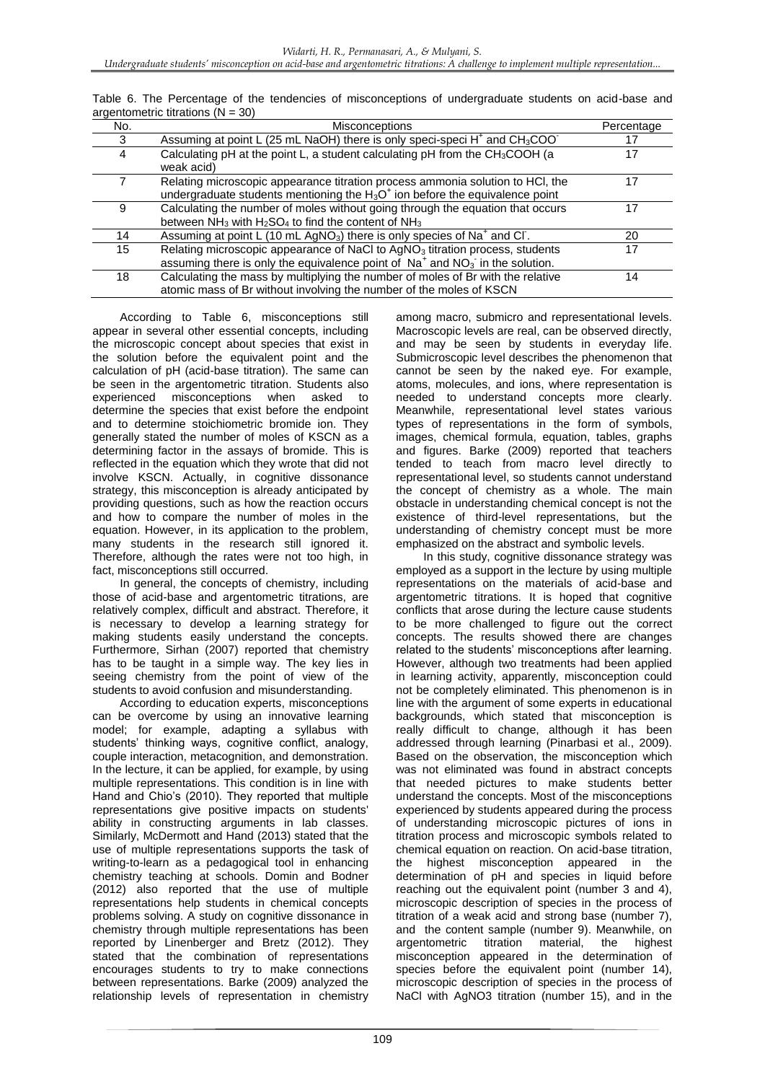| No. | <b>Misconceptions</b>                                                                                                                                                        | Percentage |
|-----|------------------------------------------------------------------------------------------------------------------------------------------------------------------------------|------------|
| 3   | Assuming at point L (25 mL NaOH) there is only speci-speci H <sup>+</sup> and CH <sub>3</sub> COO <sup>-</sup>                                                               | 17         |
| 4   | Calculating pH at the point L, a student calculating pH from the CH <sub>3</sub> COOH (a<br>weak acid)                                                                       | 17         |
|     | Relating microscopic appearance titration process ammonia solution to HCl, the<br>undergraduate students mentioning the $H_3O^+$ ion before the equivalence point            | 17         |
| 9   | Calculating the number of moles without going through the equation that occurs<br>between $NH_3$ with $H_2SO_4$ to find the content of $NH_3$                                | 17         |
| 14  | Assuming at point L (10 mL AgNO <sub>3</sub> ) there is only species of Na <sup>+</sup> and Cl.                                                                              | 20         |
| 15  | Relating microscopic appearance of NaCl to AgNO <sub>3</sub> titration process, students<br>assuming there is only the equivalence point of $Na+$ and $NO3$ in the solution. | 17         |
| 18  | Calculating the mass by multiplying the number of moles of Br with the relative<br>atomic mass of Br without involving the number of the moles of KSCN                       | 14         |

Table 6. The Percentage of the tendencies of misconceptions of undergraduate students on acid-base and argentometric titrations  $(N = 30)$ 

According to Table 6, misconceptions still appear in several other essential concepts, including the microscopic concept about species that exist in the solution before the equivalent point and the calculation of pH (acid-base titration). The same can be seen in the argentometric titration. Students also experienced misconceptions when asked to determine the species that exist before the endpoint and to determine stoichiometric bromide ion. They generally stated the number of moles of KSCN as a determining factor in the assays of bromide. This is reflected in the equation which they wrote that did not involve KSCN. Actually, in cognitive dissonance strategy, this misconception is already anticipated by providing questions, such as how the reaction occurs and how to compare the number of moles in the equation. However, in its application to the problem, many students in the research still ignored it. Therefore, although the rates were not too high, in fact, misconceptions still occurred.

In general, the concepts of chemistry, including those of acid-base and argentometric titrations, are relatively complex, difficult and abstract. Therefore, it is necessary to develop a learning strategy for making students easily understand the concepts. Furthermore, Sirhan (2007) reported that chemistry has to be taught in a simple way. The key lies in seeing chemistry from the point of view of the students to avoid confusion and misunderstanding.

According to education experts, misconceptions can be overcome by using an innovative learning model; for example, adapting a syllabus with students' thinking ways, cognitive conflict, analogy, couple interaction, metacognition, and demonstration. In the lecture, it can be applied, for example, by using multiple representations. This condition is in line with Hand and Chio's (2010). They reported that multiple representations give positive impacts on students' ability in constructing arguments in lab classes. Similarly, McDermott and Hand (2013) stated that the use of multiple representations supports the task of writing-to-learn as a pedagogical tool in enhancing chemistry teaching at schools. Domin and Bodner (2012) also reported that the use of multiple representations help students in chemical concepts problems solving. A study on cognitive dissonance in chemistry through multiple representations has been reported by Linenberger and Bretz (2012). They stated that the combination of representations encourages students to try to make connections between representations. Barke (2009) analyzed the relationship levels of representation in chemistry

among macro, submicro and representational levels. Macroscopic levels are real, can be observed directly, and may be seen by students in everyday life. Submicroscopic level describes the phenomenon that cannot be seen by the naked eye. For example, atoms, molecules, and ions, where representation is needed to understand concepts more clearly. Meanwhile, representational level states various types of representations in the form of symbols, images, chemical formula, equation, tables, graphs and figures. Barke (2009) reported that teachers tended to teach from macro level directly to representational level, so students cannot understand the concept of chemistry as a whole. The main obstacle in understanding chemical concept is not the existence of third-level representations, but the understanding of chemistry concept must be more emphasized on the abstract and symbolic levels.

In this study, cognitive dissonance strategy was employed as a support in the lecture by using multiple representations on the materials of acid-base and argentometric titrations. It is hoped that cognitive conflicts that arose during the lecture cause students to be more challenged to figure out the correct concepts. The results showed there are changes related to the students' misconceptions after learning. However, although two treatments had been applied in learning activity, apparently, misconception could not be completely eliminated. This phenomenon is in line with the argument of some experts in educational backgrounds, which stated that misconception is really difficult to change, although it has been addressed through learning (Pinarbasi et al., 2009). Based on the observation, the misconception which was not eliminated was found in abstract concepts that needed pictures to make students better understand the concepts. Most of the misconceptions experienced by students appeared during the process of understanding microscopic pictures of ions in titration process and microscopic symbols related to chemical equation on reaction. On acid-base titration, the highest misconception appeared in the determination of pH and species in liquid before reaching out the equivalent point (number 3 and 4), microscopic description of species in the process of titration of a weak acid and strong base (number 7), and the content sample (number 9). Meanwhile, on argentometric titration material, the highest misconception appeared in the determination of species before the equivalent point (number 14), microscopic description of species in the process of NaCl with AgNO3 titration (number 15), and in the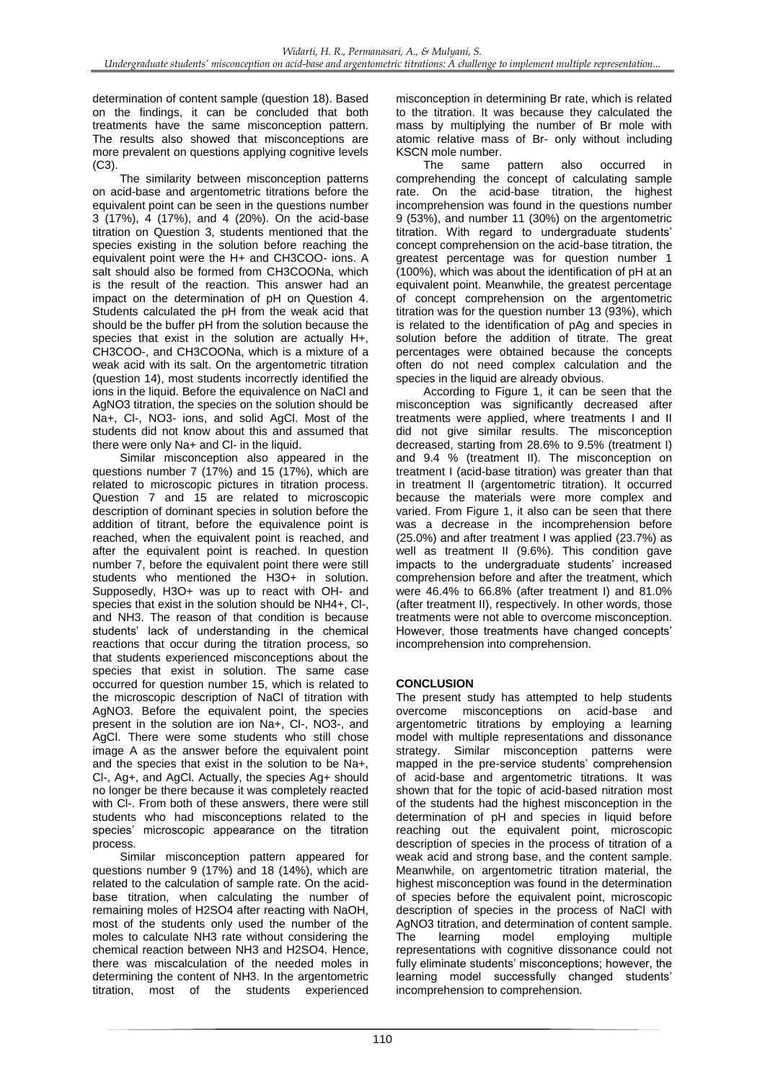determination of content sample (question 18). Based on the findings, it can be concluded that both treatments have the same misconception pattern. The results also showed that misconceptions are more prevalent on questions applying cognitive levels (C3).

The similarity between misconception patterns on acid-base and argentometric titrations before the equivalent point can be seen in the questions number 3 (17%), 4 (17%), and 4 (20%). On the acid-base titration on Question 3, students mentioned that the species existing in the solution before reaching the equivalent point were the H+ and CH3COO- ions. A salt should also be formed from CH3COONa, which is the result of the reaction. This answer had an impact on the determination of pH on Question 4. Students calculated the pH from the weak acid that should be the buffer pH from the solution because the species that exist in the solution are actually H+, CH3COO-, and CH3COONa, which is a mixture of a weak acid with its salt. On the argentometric titration (question 14), most students incorrectly identified the ions in the liquid. Before the equivalence on NaCl and AgNO3 titration, the species on the solution should be Na+, Cl-, NO3- ions, and solid AgCl. Most of the students did not know about this and assumed that there were only Na+ and CI- in the liquid.

Similar misconception also appeared in the questions number 7 (17%) and 15 (17%), which are related to microscopic pictures in titration process. Question 7 and 15 are related to microscopic description of dominant species in solution before the addition of titrant, before the equivalence point is reached, when the equivalent point is reached, and after the equivalent point is reached. In question number 7, before the equivalent point there were still students who mentioned the H3O+ in solution. Supposedly, H3O+ was up to react with OH- and species that exist in the solution should be NH4+, Cl-, and NH3. The reason of that condition is because students' lack of understanding in the chemical reactions that occur during the titration process, so that students experienced misconceptions about the species that exist in solution. The same case occurred for question number 15, which is related to the microscopic description of NaCl of titration with AgNO3. Before the equivalent point, the species present in the solution are ion Na+, Cl-, NO3-, and AgCl. There were some students who still chose image A as the answer before the equivalent point and the species that exist in the solution to be Na+, Cl-, Ag+, and AgCl. Actually, the species Ag+ should no longer be there because it was completely reacted with Cl-. From both of these answers, there were still students who had misconceptions related to the species' microscopic appearance on the titration process.

Similar misconception pattern appeared for questions number 9 (17%) and 18 (14%), which are related to the calculation of sample rate. On the acidbase titration, when calculating the number of remaining moles of H2SO4 after reacting with NaOH, most of the students only used the number of the moles to calculate NH3 rate without considering the chemical reaction between NH3 and H2SO4. Hence, there was miscalculation of the needed moles in determining the content of NH3. In the argentometric titration, most of the students experienced

misconception in determining Br rate, which is related to the titration. It was because they calculated the mass by multiplying the number of Br mole with atomic relative mass of Br- only without including KSCN mole number.

The same pattern also occurred in comprehending the concept of calculating sample rate. On the acid-base titration, the highest incomprehension was found in the questions number 9 (53%), and number 11 (30%) on the argentometric titration. With regard to undergraduate students' concept comprehension on the acid-base titration, the greatest percentage was for question number 1 (100%), which was about the identification of pH at an equivalent point. Meanwhile, the greatest percentage of concept comprehension on the argentometric titration was for the question number 13 (93%), which is related to the identification of pAg and species in solution before the addition of titrate. The great percentages were obtained because the concepts often do not need complex calculation and the species in the liquid are already obvious.

According to Figure 1, it can be seen that the misconception was significantly decreased after treatments were applied, where treatments I and II did not give similar results. The misconception decreased, starting from 28.6% to 9.5% (treatment I) and 9.4 % (treatment II). The misconception on treatment I (acid-base titration) was greater than that in treatment II (argentometric titration). It occurred because the materials were more complex and varied. From Figure 1, it also can be seen that there was a decrease in the incomprehension before (25.0%) and after treatment I was applied (23.7%) as well as treatment II (9.6%). This condition gave impacts to the undergraduate students' increased comprehension before and after the treatment, which were 46.4% to 66.8% (after treatment I) and 81.0% (after treatment II), respectively. In other words, those treatments were not able to overcome misconception. However, those treatments have changed concepts' incomprehension into comprehension.

## **CONCLUSION**

The present study has attempted to help students overcome misconceptions on acid-base and argentometric titrations by employing a learning model with multiple representations and dissonance strategy. Similar misconception patterns were mapped in the pre-service students' comprehension of acid-base and argentometric titrations. It was shown that for the topic of acid-based nitration most of the students had the highest misconception in the determination of pH and species in liquid before reaching out the equivalent point, microscopic description of species in the process of titration of a weak acid and strong base, and the content sample. Meanwhile, on argentometric titration material, the highest misconception was found in the determination of species before the equivalent point, microscopic description of species in the process of NaCl with AgNO3 titration, and determination of content sample. The learning model employing multiple representations with cognitive dissonance could not fully eliminate students' misconceptions; however, the learning model successfully changed students' incomprehension to comprehension.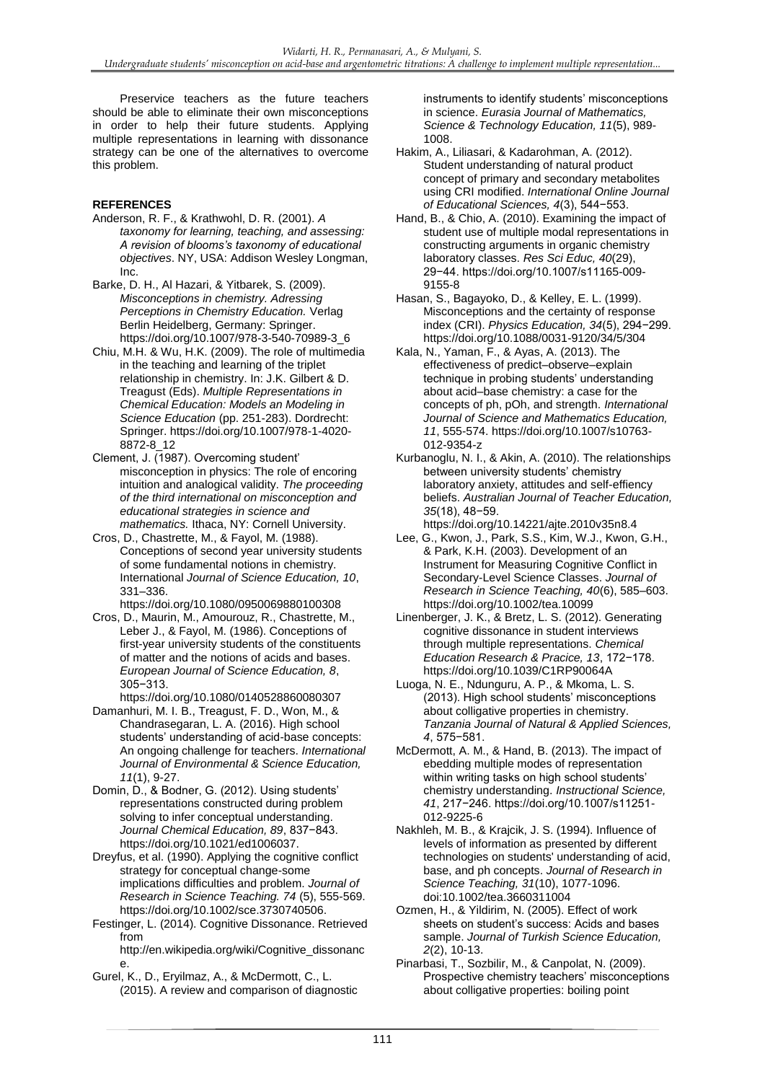Preservice teachers as the future teachers should be able to eliminate their own misconceptions in order to help their future students. Applying multiple representations in learning with dissonance strategy can be one of the alternatives to overcome this problem.

## **REFERENCES**

- Anderson, R. F., & Krathwohl, D. R. (2001). *A taxonomy for learning, teaching, and assessing: A revision of blooms's taxonomy of educational objectives*. NY, USA: Addison Wesley Longman, Inc.
- Barke, D. H., Al Hazari, & Yitbarek, S. (2009). *Misconceptions in chemistry. Adressing Perceptions in Chemistry Education.* Verlag Berlin Heidelberg, Germany: Springer. https://doi.org/10.1007/978-3-540-70989-3\_6
- Chiu, M.H. & Wu, H.K. (2009). The role of multimedia in the teaching and learning of the triplet relationship in chemistry. In: J.K. Gilbert & D. Treagust (Eds). *Multiple Representations in Chemical Education: Models an Modeling in Science Education* (pp. 251-283). Dordrecht: Springer. https://doi.org/10.1007/978-1-4020- 8872-8\_12
- Clement, J. (1987). Overcoming student' misconception in physics: The role of encoring intuition and analogical validity. *The proceeding of the third international on misconception and educational strategies in science and mathematics.* Ithaca, NY: Cornell University.
- Cros, D., Chastrette, M., & Fayol, M. (1988). Conceptions of second year university students of some fundamental notions in chemistry. International *Journal of Science Education, 10*, 331–336.
- https://doi.org/10.1080/0950069880100308 Cros, D., Maurin, M., Amourouz, R., Chastrette, M., Leber J., & Fayol, M. (1986). Conceptions of first-year university students of the constituents of matter and the notions of acids and bases. *European Journal of Science Education, 8*,
- 305−313. https://doi.org/10.1080/0140528860080307
- Damanhuri, M. I. B., Treagust, F. D., Won, M., & Chandrasegaran, L. A. (2016). High school students' understanding of acid-base concepts: An ongoing challenge for teachers. *International Journal of Environmental & Science Education, 11*(1), 9-27.
- Domin, D., & Bodner, G. (2012). Using students' representations constructed during problem solving to infer conceptual understanding. *Journal Chemical Education, 89*, 837−843. https://doi.org/10.1021/ed1006037.
- Dreyfus, et al. (1990). Applying the cognitive conflict strategy for conceptual change-some implications difficulties and problem. *Journal of Research in Science Teaching. 74* (5), 555-569. https://doi.org/10.1002/sce.3730740506.
- Festinger, L. (2014). Cognitive Dissonance. Retrieved from

http://en.wikipedia.org/wiki/Cognitive\_dissonanc e.

Gurel, K., D., Eryilmaz, A., & McDermott, C., L. (2015). A review and comparison of diagnostic instruments to identify students' misconceptions in science. *Eurasia Journal of Mathematics, Science & Technology Education, 11*(5), 989- 1008.

- Hakim, A., Liliasari, & Kadarohman, A. (2012). Student understanding of natural product concept of primary and secondary metabolites using CRI modified. *International Online Journal of Educational Sciences, 4*(3), 544−553.
- Hand, B., & Chio, A. (2010). Examining the impact of student use of multiple modal representations in constructing arguments in organic chemistry laboratory classes. *Res Sci Educ, 40*(29), 29−44. https://doi.org/10.1007/s11165-009- 9155-8
- Hasan, S., Bagayoko, D., & Kelley, E. L. (1999). Misconceptions and the certainty of response index (CRI). *Physics Education, 34*(5), 294−299. https://doi.org/10.1088/0031-9120/34/5/304
- Kala, N., Yaman, F., & Ayas, A. (2013). The effectiveness of predict–observe–explain technique in probing students' understanding about acid–base chemistry: a case for the concepts of ph, pOh, and strength. *International Journal of Science and Mathematics Education, 11*, 555-574. https://doi.org/10.1007/s10763- 012-9354-z
- Kurbanoglu, N. I., & Akin, A. (2010). The relationships between university students' chemistry laboratory anxiety, attitudes and self-effiency beliefs. *Australian Journal of Teacher Education, 35*(18), 48−59. https://doi.org/10.14221/ajte.2010v35n8.4
- Lee, G., Kwon, J., Park, S.S., Kim, W.J., Kwon, G.H., & Park, K.H. (2003). Development of an Instrument for Measuring Cognitive Conflict in Secondary-Level Science Classes. *Journal of Research in Science Teaching, 40*(6), 585–603. https://doi.org/10.1002/tea.10099
- Linenberger, J. K., & Bretz, L. S. (2012). Generating cognitive dissonance in student interviews through multiple representations. *Chemical Education Research & Pracice, 13*, 172−178. https://doi.org/10.1039/C1RP90064A
- Luoga, N. E., Ndunguru, A. P., & Mkoma, L. S. (2013). High school students' misconceptions about colligative properties in chemistry. *Tanzania Journal of Natural & Applied Sciences, 4*, 575−581.
- McDermott, A. M., & Hand, B. (2013). The impact of ebedding multiple modes of representation within writing tasks on high school students' chemistry understanding. *Instructional Science, 41*, 217−246. https://doi.org/10.1007/s11251- 012-9225-6
- Nakhleh, M. B., & Krajcik, J. S. (1994). Influence of levels of information as presented by different technologies on students' understanding of acid, base, and ph concepts. *Journal of Research in Science Teaching, 31*(10), 1077-1096. doi:10.1002/tea.3660311004
- Ozmen, H., & Yildirim, N. (2005). Effect of work sheets on student's success: Acids and bases sample. *Journal of Turkish Science Education, 2*(2), 10-13.
- Pinarbasi, T., Sozbilir, M., & Canpolat, N. (2009). Prospective chemistry teachers' misconceptions about colligative properties: boiling point